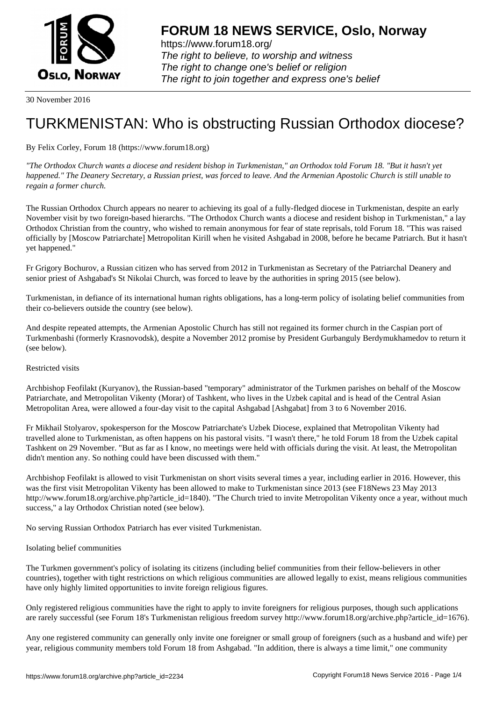

https://www.forum18.org/ The right to believe, to worship and witness The right to change one's belief or religion [The right to join together a](https://www.forum18.org/)nd express one's belief

30 November 2016

# [TURKMENISTA](https://www.forum18.org)N: Who is obstructing Russian Orthodox diocese?

## By Felix Corley, Forum 18 (https://www.forum18.org)

*"The Orthodox Church wants a diocese and resident bishop in Turkmenistan," an Orthodox told Forum 18. "But it hasn't yet happened." The Deanery Secretary, a Russian priest, was forced to leave. And the Armenian Apostolic Church is still unable to regain a former church.*

The Russian Orthodox Church appears no nearer to achieving its goal of a fully-fledged diocese in Turkmenistan, despite an early November visit by two foreign-based hierarchs. "The Orthodox Church wants a diocese and resident bishop in Turkmenistan," a lay Orthodox Christian from the country, who wished to remain anonymous for fear of state reprisals, told Forum 18. "This was raised officially by [Moscow Patriarchate] Metropolitan Kirill when he visited Ashgabad in 2008, before he became Patriarch. But it hasn't yet happened."

Fr Grigory Bochurov, a Russian citizen who has served from 2012 in Turkmenistan as Secretary of the Patriarchal Deanery and senior priest of Ashgabad's St Nikolai Church, was forced to leave by the authorities in spring 2015 (see below).

Turkmenistan, in defiance of its international human rights obligations, has a long-term policy of isolating belief communities from their co-believers outside the country (see below).

And despite repeated attempts, the Armenian Apostolic Church has still not regained its former church in the Caspian port of Turkmenbashi (formerly Krasnovodsk), despite a November 2012 promise by President Gurbanguly Berdymukhamedov to return it (see below).

#### Restricted visits

Archbishop Feofilakt (Kuryanov), the Russian-based "temporary" administrator of the Turkmen parishes on behalf of the Moscow Patriarchate, and Metropolitan Vikenty (Morar) of Tashkent, who lives in the Uzbek capital and is head of the Central Asian Metropolitan Area, were allowed a four-day visit to the capital Ashgabad [Ashgabat] from 3 to 6 November 2016.

Fr Mikhail Stolyarov, spokesperson for the Moscow Patriarchate's Uzbek Diocese, explained that Metropolitan Vikenty had travelled alone to Turkmenistan, as often happens on his pastoral visits. "I wasn't there," he told Forum 18 from the Uzbek capital Tashkent on 29 November. "But as far as I know, no meetings were held with officials during the visit. At least, the Metropolitan didn't mention any. So nothing could have been discussed with them."

Archbishop Feofilakt is allowed to visit Turkmenistan on short visits several times a year, including earlier in 2016. However, this was the first visit Metropolitan Vikenty has been allowed to make to Turkmenistan since 2013 (see F18News 23 May 2013 http://www.forum18.org/archive.php?article\_id=1840). "The Church tried to invite Metropolitan Vikenty once a year, without much success," a lay Orthodox Christian noted (see below).

No serving Russian Orthodox Patriarch has ever visited Turkmenistan.

#### Isolating belief communities

The Turkmen government's policy of isolating its citizens (including belief communities from their fellow-believers in other countries), together with tight restrictions on which religious communities are allowed legally to exist, means religious communities have only highly limited opportunities to invite foreign religious figures.

Only registered religious communities have the right to apply to invite foreigners for religious purposes, though such applications are rarely successful (see Forum 18's Turkmenistan religious freedom survey http://www.forum18.org/archive.php?article\_id=1676).

Any one registered community can generally only invite one foreigner or small group of foreigners (such as a husband and wife) per year, religious community members told Forum 18 from Ashgabad. "In addition, there is always a time limit," one community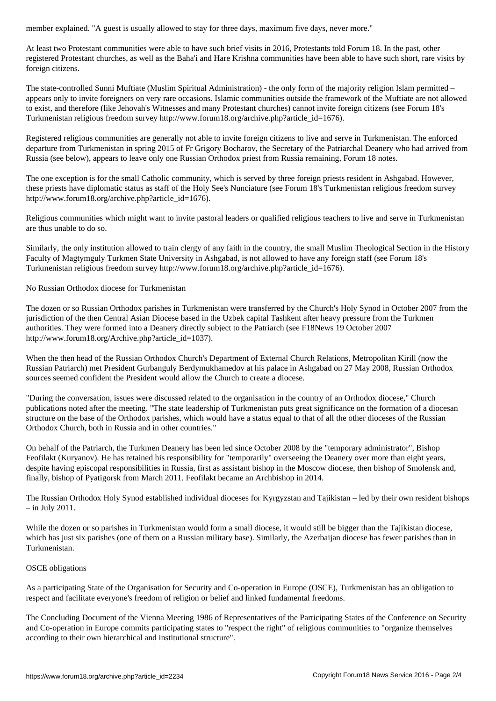At least two Protestant communities were able to have such brief visits in 2016, Protestants told Forum 18. In the past, other registered Protestant churches, as well as the Baha'i and Hare Krishna communities have been able to have such short, rare visits by foreign citizens.

The state-controlled Sunni Muftiate (Muslim Spiritual Administration) - the only form of the majority religion Islam permitted – appears only to invite foreigners on very rare occasions. Islamic communities outside the framework of the Muftiate are not allowed to exist, and therefore (like Jehovah's Witnesses and many Protestant churches) cannot invite foreign citizens (see Forum 18's Turkmenistan religious freedom survey http://www.forum18.org/archive.php?article\_id=1676).

Registered religious communities are generally not able to invite foreign citizens to live and serve in Turkmenistan. The enforced departure from Turkmenistan in spring 2015 of Fr Grigory Bocharov, the Secretary of the Patriarchal Deanery who had arrived from Russia (see below), appears to leave only one Russian Orthodox priest from Russia remaining, Forum 18 notes.

The one exception is for the small Catholic community, which is served by three foreign priests resident in Ashgabad. However, these priests have diplomatic status as staff of the Holy See's Nunciature (see Forum 18's Turkmenistan religious freedom survey http://www.forum18.org/archive.php?article\_id=1676).

Religious communities which might want to invite pastoral leaders or qualified religious teachers to live and serve in Turkmenistan are thus unable to do so.

Similarly, the only institution allowed to train clergy of any faith in the country, the small Muslim Theological Section in the History Faculty of Magtymguly Turkmen State University in Ashgabad, is not allowed to have any foreign staff (see Forum 18's Turkmenistan religious freedom survey http://www.forum18.org/archive.php?article\_id=1676).

No Russian Orthodox diocese for Turkmenistan

The dozen or so Russian Orthodox parishes in Turkmenistan were transferred by the Church's Holy Synod in October 2007 from the jurisdiction of the then Central Asian Diocese based in the Uzbek capital Tashkent after heavy pressure from the Turkmen authorities. They were formed into a Deanery directly subject to the Patriarch (see F18News 19 October 2007 http://www.forum18.org/Archive.php?article\_id=1037).

When the then head of the Russian Orthodox Church's Department of External Church Relations, Metropolitan Kirill (now the Russian Patriarch) met President Gurbanguly Berdymukhamedov at his palace in Ashgabad on 27 May 2008, Russian Orthodox sources seemed confident the President would allow the Church to create a diocese.

"During the conversation, issues were discussed related to the organisation in the country of an Orthodox diocese," Church publications noted after the meeting. "The state leadership of Turkmenistan puts great significance on the formation of a diocesan structure on the base of the Orthodox parishes, which would have a status equal to that of all the other dioceses of the Russian Orthodox Church, both in Russia and in other countries."

On behalf of the Patriarch, the Turkmen Deanery has been led since October 2008 by the "temporary administrator", Bishop Feofilakt (Kuryanov). He has retained his responsibility for "temporarily" overseeing the Deanery over more than eight years, despite having episcopal responsibilities in Russia, first as assistant bishop in the Moscow diocese, then bishop of Smolensk and, finally, bishop of Pyatigorsk from March 2011. Feofilakt became an Archbishop in 2014.

The Russian Orthodox Holy Synod established individual dioceses for Kyrgyzstan and Tajikistan – led by their own resident bishops – in July 2011.

While the dozen or so parishes in Turkmenistan would form a small diocese, it would still be bigger than the Tajikistan diocese, which has just six parishes (one of them on a Russian military base). Similarly, the Azerbaijan diocese has fewer parishes than in Turkmenistan.

## OSCE obligations

As a participating State of the Organisation for Security and Co-operation in Europe (OSCE), Turkmenistan has an obligation to respect and facilitate everyone's freedom of religion or belief and linked fundamental freedoms.

The Concluding Document of the Vienna Meeting 1986 of Representatives of the Participating States of the Conference on Security and Co-operation in Europe commits participating states to "respect the right" of religious communities to "organize themselves according to their own hierarchical and institutional structure".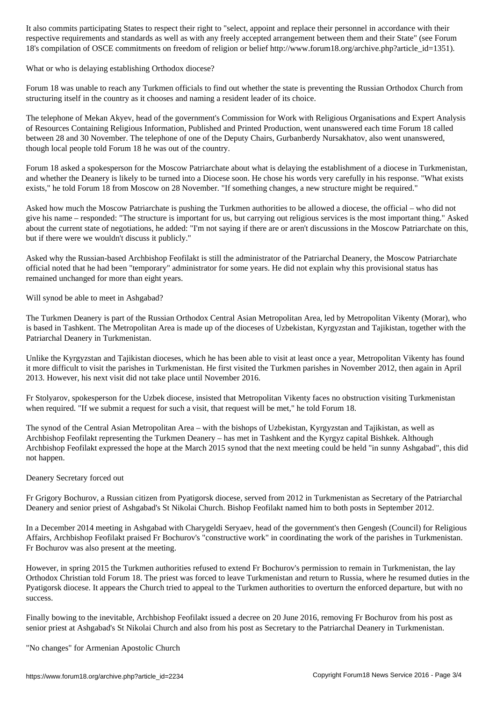respective requirements and standards as well as with any freely accepted arrangement between them and their State" (see Forum 18's compilation of OSCE commitments on freedom of religion or belief http://www.forum18.org/archive.php?article\_id=1351).

What or who is delaying establishing Orthodox diocese?

Forum 18 was unable to reach any Turkmen officials to find out whether the state is preventing the Russian Orthodox Church from structuring itself in the country as it chooses and naming a resident leader of its choice.

The telephone of Mekan Akyev, head of the government's Commission for Work with Religious Organisations and Expert Analysis of Resources Containing Religious Information, Published and Printed Production, went unanswered each time Forum 18 called between 28 and 30 November. The telephone of one of the Deputy Chairs, Gurbanberdy Nursakhatov, also went unanswered, though local people told Forum 18 he was out of the country.

Forum 18 asked a spokesperson for the Moscow Patriarchate about what is delaying the establishment of a diocese in Turkmenistan, and whether the Deanery is likely to be turned into a Diocese soon. He chose his words very carefully in his response. "What exists exists," he told Forum 18 from Moscow on 28 November. "If something changes, a new structure might be required."

Asked how much the Moscow Patriarchate is pushing the Turkmen authorities to be allowed a diocese, the official – who did not give his name – responded: "The structure is important for us, but carrying out religious services is the most important thing." Asked about the current state of negotiations, he added: "I'm not saying if there are or aren't discussions in the Moscow Patriarchate on this, but if there were we wouldn't discuss it publicly."

Asked why the Russian-based Archbishop Feofilakt is still the administrator of the Patriarchal Deanery, the Moscow Patriarchate official noted that he had been "temporary" administrator for some years. He did not explain why this provisional status has remained unchanged for more than eight years.

Will synod be able to meet in Ashgabad?

The Turkmen Deanery is part of the Russian Orthodox Central Asian Metropolitan Area, led by Metropolitan Vikenty (Morar), who is based in Tashkent. The Metropolitan Area is made up of the dioceses of Uzbekistan, Kyrgyzstan and Tajikistan, together with the Patriarchal Deanery in Turkmenistan.

Unlike the Kyrgyzstan and Tajikistan dioceses, which he has been able to visit at least once a year, Metropolitan Vikenty has found it more difficult to visit the parishes in Turkmenistan. He first visited the Turkmen parishes in November 2012, then again in April 2013. However, his next visit did not take place until November 2016.

Fr Stolyarov, spokesperson for the Uzbek diocese, insisted that Metropolitan Vikenty faces no obstruction visiting Turkmenistan when required. "If we submit a request for such a visit, that request will be met," he told Forum 18.

The synod of the Central Asian Metropolitan Area – with the bishops of Uzbekistan, Kyrgyzstan and Tajikistan, as well as Archbishop Feofilakt representing the Turkmen Deanery – has met in Tashkent and the Kyrgyz capital Bishkek. Although Archbishop Feofilakt expressed the hope at the March 2015 synod that the next meeting could be held "in sunny Ashgabad", this did not happen.

### Deanery Secretary forced out

Fr Grigory Bochurov, a Russian citizen from Pyatigorsk diocese, served from 2012 in Turkmenistan as Secretary of the Patriarchal Deanery and senior priest of Ashgabad's St Nikolai Church. Bishop Feofilakt named him to both posts in September 2012.

In a December 2014 meeting in Ashgabad with Charygeldi Seryaev, head of the government's then Gengesh (Council) for Religious Affairs, Archbishop Feofilakt praised Fr Bochurov's "constructive work" in coordinating the work of the parishes in Turkmenistan. Fr Bochurov was also present at the meeting.

However, in spring 2015 the Turkmen authorities refused to extend Fr Bochurov's permission to remain in Turkmenistan, the lay Orthodox Christian told Forum 18. The priest was forced to leave Turkmenistan and return to Russia, where he resumed duties in the Pyatigorsk diocese. It appears the Church tried to appeal to the Turkmen authorities to overturn the enforced departure, but with no success.

Finally bowing to the inevitable, Archbishop Feofilakt issued a decree on 20 June 2016, removing Fr Bochurov from his post as senior priest at Ashgabad's St Nikolai Church and also from his post as Secretary to the Patriarchal Deanery in Turkmenistan.

"No changes" for Armenian Apostolic Church